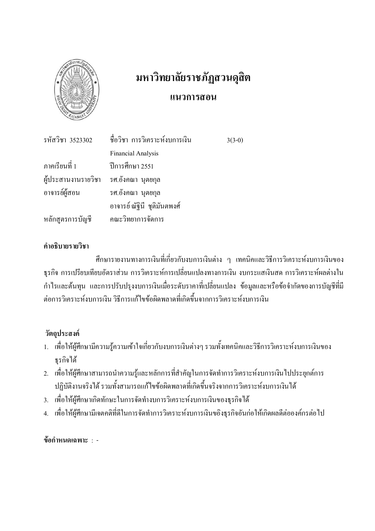

# มหาวิทยาลัยราชภัฏสวนดุสิต แนวการ<mark>สอ</mark>น

|                                       | รหัสวิชา 3523302 - ชื่อวิชา การวิเคราะห์งบการเงิน | $3(3-0)$ |
|---------------------------------------|---------------------------------------------------|----------|
|                                       | <b>Financial Analysis</b>                         |          |
| ภาคเรียนที่ 1 ปีการศึกษา 2551         |                                                   |          |
| ผู้ประสานงานรายวิชา รศ.อังคณา นุตยกุล |                                                   |          |
| อาจารย์ผู้สอน                         | รศ.อังคณา นุตยกุล                                 |          |
|                                       | อาจารย์ ณัฐินี  ชุติมันตพงศ์                      |          |
| หลักสูตรการบัญชี คณะวิทยาการจัดการ    |                                                   |          |

#### คำอธิบายรายวิชา

ศึกษารายงานทางการเงินที่เกี่ยวกับงบการเงินต่าง ๆ เทคนิคและวิธีการวิเคราะห์งบการเงินของ ฐรกิจ การเปรียบเทียบอัตราส่วน การวิเคราะห์การเปลี่ยนแปลงทางการเงิน งบกระแสเงินสด การวิเคราะห์ผลต่างใน กำไรและด้นทุน และการปรับปรุงงบการเงินเมื่อระดับราคาที่เปลี่ยนแปลง ข้อมูลและหรือข้อจำกัดของการบัญชีที่มี ต่อการวิเคราะห์งบการเงิน วิธีการแก้ไขข้อผิดพลาดที่เกิดขึ้นจากการวิเคราะห์งบการเงิน

### วัตถุประสงค์

- 1. เพื่อให้ผู้ศึกษามีความรู้ความเข้าใจเกี่ยวกับงบการเงินต่างๆ รวมทั้งเทคนิคและวิธีการวิเคราะห์งบการเงินของ ธุรกิจได้
- 2. เพื่อให้ผู้ศึกษาสามารถนำความรู้และหลักการที่สำคัญในการจัดทำการวิเคราะห์งบการเงินไปประยุกต์การ ปฏิบัติงานจริงได้ รวมทั้งสามารถแก้ไขข้อผิดพลาดที่เกิดขึ้นจริงจากการวิเคราะห์งบการเงินได้
- 3. เพื่อให้ผู้ศึกษาเกิดทักษะในการจัดทำงบการวิเคราะห์งบการเงินของธุรกิจได้
- 4. เพื่อให้ผู้ศึกษามีเจตกติที่ดีในการจัดทำการวิเกราะห์งบการเงินขอิงธุรกิจอันก่อให้เกิดผลดีต่อองค์กรต่อไป

ข้อกำหนดเฉพาะ : -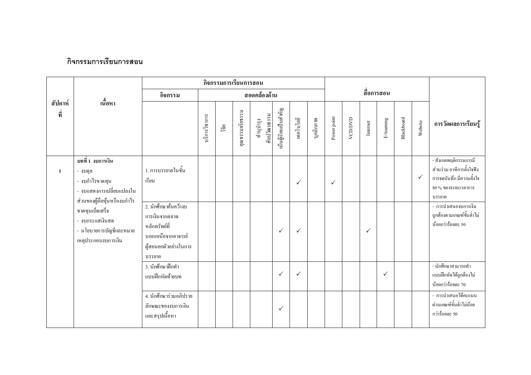#### กิจกรรมการเรียนการสอน

|                |                                                                                                            |                                                                                                                  |               | กิจกรรมการเรียนการสอน |                 |                           |                       |              |           |              |         |          |            |            |              |                                                                                                                    |
|----------------|------------------------------------------------------------------------------------------------------------|------------------------------------------------------------------------------------------------------------------|---------------|-----------------------|-----------------|---------------------------|-----------------------|--------------|-----------|--------------|---------|----------|------------|------------|--------------|--------------------------------------------------------------------------------------------------------------------|
|                |                                                                                                            | กิจกรรม                                                                                                          |               |                       |                 | สอดคล้องด้าน              |                       |              |           |              |         |          | สื่อการสอน |            |              |                                                                                                                    |
| สัปดาห์<br>ที่ | เนื้อหา                                                                                                    |                                                                                                                  | บริการวิชาการ | ាំមិ                  | กุณธรรมจริยธรรม | ศิลปวัฒนธรรม<br>ทำนุบำรุง | นั้นผู้เรียนเป็นสำคัญ | เทคโนโลยี    | บุคลิกภาพ | Power point  | VCD/DVD | Internet | E-leaming  | Blackboard | Website      | การวัดผลการเรียนรู้                                                                                                |
| 1              | ิบทที่ 1 งบการเงิน<br>- งบดุล<br>- งบกำไรขาดทุน<br>- งบแสดงการเปลี่ยนแปลงใน<br>ส่วนของผู้ถือหุ้นหรืองบกำไร | 1. การบรรยายในชั้น<br>เรียน                                                                                      |               |                       |                 |                           |                       | $\checkmark$ |           | $\checkmark$ |         |          |            |            | $\checkmark$ | - สังเกตพฤติกรรมการมี<br>ส่วนร่วม อาทิการตั้งใจฟัง<br>การจดบันทึกมีความตั้งใจ<br>$80\,\%$ ของระยะเวลาการ<br>บรรยาย |
|                | ขาดทุนเบ็ดเสร็จ<br>- งบกระแสเงินสด<br>- นโยบายการบัญชีและหมาย<br>เหตุประกอบงบการเงิน                       | 2. นักศึกษาค้นคว้างบ<br>การเงินจากตลาด<br>หลักทรัพย์ที่<br>นอกเหนือจากอาจารย์<br>ผู้สอนยกตัวอย่างในการ<br>บรรยาย |               |                       |                 |                           | $\checkmark$          | $\checkmark$ |           |              |         | ✓        |            |            |              | - การนำเสนองบการเงิน<br>ถูกต้องตามเกณฑ์ขั้นต่ำไม่<br>น้อยกว่าร้อยละ 50                                             |
|                |                                                                                                            | 3. นักศึกษาฝึกทำ<br>แบบฝึกหัดท้ายบท                                                                              |               |                       |                 |                           | $\checkmark$          | $\checkmark$ |           |              |         |          | ✓          |            |              | - นักศึกษาสามารถทำ<br>แบบฝึกหัดได้ถูกต้องไม่<br>น้อยกว่าร้อยละ 70                                                  |
|                |                                                                                                            | 4. นักศึกษาร่วมอภิปราย<br>ลักษณะของงบการเงิน<br>และสรุปเนื้อหา                                                   |               |                       |                 |                           | $\checkmark$          |              |           |              |         |          |            |            |              | - การนำเสนอได้คะแนน<br>ผ่านเกณฑ์ขั้นต่ำไม่น้อย<br>กว่าร้อยละ 50                                                    |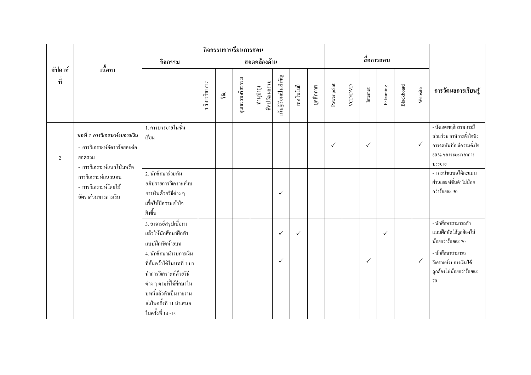|                |                                                                                                      |                                                                                                                                                                                   |               |      | กิจกรรมการเรียนการสอน |                           |                       |              |           |              |               |              |              |            |              |                                                                                                                     |
|----------------|------------------------------------------------------------------------------------------------------|-----------------------------------------------------------------------------------------------------------------------------------------------------------------------------------|---------------|------|-----------------------|---------------------------|-----------------------|--------------|-----------|--------------|---------------|--------------|--------------|------------|--------------|---------------------------------------------------------------------------------------------------------------------|
|                |                                                                                                      | กิจกรรม                                                                                                                                                                           |               |      |                       | สอดคล้องด้าน              |                       |              |           |              |               |              | สื่อการสอน   |            |              |                                                                                                                     |
| สัปดาห์<br>ที่ | ้เนื้อหา                                                                                             |                                                                                                                                                                                   | บริการวิชาการ | ាំមិ | คุณธรรมจริยธรรม       | ศิลปวัฒนธรรม<br>ทำนุบำรุง | นั้นผู้เรียนเป็นสำคัญ | เทคโนโลยี    | บุคลิกภาพ | Power point  | <b>ACCOON</b> | Internet     | E-leaming    | Blackboard | Website      | การวัดผลการเรียนรู้                                                                                                 |
| 2              | บทที่ 2 การวิเคราะห์งบการเงิน<br>- การวิเคราะห์อัตราร้อยละต่อ<br>ยอครวม<br>- การวิเคราะห์แนวโน้มหรือ | 1. การบรรยายในชั้น<br>เรียน                                                                                                                                                       |               |      |                       |                           |                       |              |           | $\checkmark$ |               | $\checkmark$ |              |            | $\checkmark$ | - สังเกตพฤติกรรมการมี<br>ส่วนร่วม อาทิการตั้งใจฟัง<br>การจดบันทึก มีความตั้งใจ<br>$80\,\%$ ของระยะเวลาการ<br>บรรยาย |
|                | การวิเคราะห์แนวนอน<br>- การวิเคราะห์โดยใช้<br>อัตราส่วนทางการเงิน                                    | 2. นักศึกษาร่วมกัน<br>อภิปรายการวิเคราะห์งบ<br>การเงินด้วยวิธีต่าง ๆ<br>เพื่อให้มีความเข้าใจ<br>อิ่งขึ้น                                                                          |               |      |                       |                           | $\checkmark$          |              |           |              |               |              |              |            |              | - การนำเสนอได้คะแนน<br>ผ่านเกณฑ์ขั้นต่ำไม่น้อย<br>กว่าร้อยละ 50                                                     |
|                |                                                                                                      | 3. อาจารย์สรุปเนื้อหา<br>แล้วให้นักศึกษาฝึกทำ<br>แบบฝึกหัดท้ายบท                                                                                                                  |               |      |                       |                           | $\checkmark$          | $\checkmark$ |           |              |               |              | $\checkmark$ |            |              | <u>.<br/>- นักศึ</u> กษาสามารถทำ<br>แบบฝึกหัดใค้ถูกต้องไม่<br>น้อยกว่าร้อยละ 70                                     |
|                |                                                                                                      | 4. นักศึกษานำงบการเงิน<br>ที่ค้นคว้าได้ในบทที่ 1 มา<br>ทำการวิเคราะห์ด้วยวิธี<br>ต่าง ๆ ตามที่ได้ศึกษาใน<br>บทนี้แล้วทำเป็นรายงาน<br>ส่งในครั้งที่ 11 นำเสนอ<br>ในครั้งที่ 14 -15 |               |      |                       |                           | $\checkmark$          |              |           |              |               | $\checkmark$ |              |            | $\checkmark$ | - นักศึกษาสามารถ<br>วิเคราะห์งบการเงินได้<br>ถูกต้องไม่น้อยกว่าร้อยละ<br>70                                         |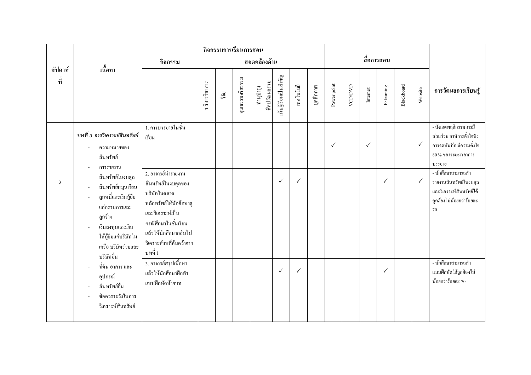|                |                                                                                                                                                                             |                                                                                                                                                                                                  |               | กิจกรรมการเรียนการสอน |                 |                           |                       |              |           |             |               |              |              |            |              |                                                                                                                  |
|----------------|-----------------------------------------------------------------------------------------------------------------------------------------------------------------------------|--------------------------------------------------------------------------------------------------------------------------------------------------------------------------------------------------|---------------|-----------------------|-----------------|---------------------------|-----------------------|--------------|-----------|-------------|---------------|--------------|--------------|------------|--------------|------------------------------------------------------------------------------------------------------------------|
|                |                                                                                                                                                                             | กิจกรรม                                                                                                                                                                                          |               |                       |                 | สอดคล้องด้าน              |                       |              |           |             |               |              | สื่อการสอน   |            |              |                                                                                                                  |
| สัปดาห์<br>ที่ | ้เนื้อหา                                                                                                                                                                    |                                                                                                                                                                                                  | บริการวิชาการ | ີາຍ                   | กุณธรรมจริยธรรม | ศิลปวัฒนธรรม<br>ทำนูบำรุง | นั้นผู้เรียนเป็นสำคัญ | เทคโนโลยี    | บุคลิกภาพ | Power point | <b>ACDDAD</b> | Internet     | E-leaming    | Blackboard | Website      | การวัดผลการเรียนรู้                                                                                              |
|                | บทที่ 3 การวิเคราะห์สินทรัพย์<br>ความหมายของ<br>สินทรัพย์<br>การรายงาน                                                                                                      | 1. การบรรยายในชั้น<br>เรียน                                                                                                                                                                      |               |                       |                 |                           |                       |              |           | ✓           |               | $\checkmark$ |              |            | $\checkmark$ | - สังเกตพฤติกรรมการมี<br>ส่วนร่วม อาทิการตั้งใจฟัง<br>การจดบันทึก มีความตั้งใจ<br>$80%$ ของระยะเวลาการ<br>บรรยาย |
| $\overline{3}$ | สินทรัพย์ในงบคุล<br>สินทรัพย์หมุนเวียน<br>ลูกหนี้และเงินกู้ยืม<br>แก่กรรมการและ<br>ลูกจ้าง<br>เงินลงทุนและเงิน<br>ให้กู้ยืมแก่บริษัทใน<br>เครือ บริษัทร่วมและ<br>บริษัทอื่น | 2. อาจารย์นำรายงาน<br>สินทรัพย์ในงบคุลของ<br>บริษัทในตลาด<br>หลักทรัพย์ให้นักศึกษาดู<br>และวิเคราะห์เป็น<br>กรณีศึกษาในชั้นเรียน<br>แล้วให้นักศึกษากลับไป<br>วิเคราะห์งบที่ค้นคว้าจาก<br>บทที่ 1 |               |                       |                 |                           | $\checkmark$          | $\checkmark$ |           |             |               |              | $\checkmark$ |            | $\checkmark$ | - นักศึกษาสามารถทำ<br>รายงานสินทรัพย์ในงบคุล<br>และวิเคราะห์สินทรัพย์ได้<br>ถูกต้องไม่น้อยกว่าร้อยละ<br>70       |
|                | ที่ดิน อาคาร และ<br>อุปกรณ์<br>สินทรัพย์อื่น<br>ข้อควรระวังในการ<br>วิเคราะห์สินทรัพย์                                                                                      | 3. อาจารย์สรุปเนื้อหา<br>แล้วให้นักศึกษาฝึกทำ<br>แบบฝึกหัดท้ายบท                                                                                                                                 |               |                       |                 |                           | $\checkmark$          | $\checkmark$ |           |             |               |              | $\checkmark$ |            |              | - นักศึกษาสามารถทำ<br>แบบฝึกหัดได้ถูกต้องไม่<br>น้อยกว่าร้อยละ 70                                                |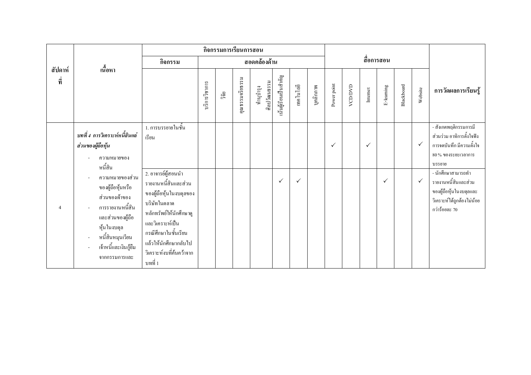|                |                                                                                                                                                                                                         |                                                                                                                                                                                                                              |               | กิจกรรมการเรียนการสอน |                 |                           |                       |              |           |              |         |              |              |            |              |                                                                                                                      |
|----------------|---------------------------------------------------------------------------------------------------------------------------------------------------------------------------------------------------------|------------------------------------------------------------------------------------------------------------------------------------------------------------------------------------------------------------------------------|---------------|-----------------------|-----------------|---------------------------|-----------------------|--------------|-----------|--------------|---------|--------------|--------------|------------|--------------|----------------------------------------------------------------------------------------------------------------------|
|                | เนื้อหา                                                                                                                                                                                                 | กิจกรรม                                                                                                                                                                                                                      |               |                       |                 | สอดคล้องด้าน              |                       |              |           |              |         |              | สื่อการสอน   |            |              |                                                                                                                      |
| สัปดาห์<br>ที่ | บทที่ 4 การวิเคราะห์หนี้สินแล่                                                                                                                                                                          |                                                                                                                                                                                                                              | บริการวิชาการ | ີ້າຢ້                 | คุณธรรมจริยธรรม | ศิลปวัฒนธรรม<br>ทำนูบำรุง | นั้นผู้เรียนเป็นสำคัญ | เทคโนโลยี    | บุคลิกภาพ | Power point  | VCD/DVD | Internet     | E-leaming    | Blackboard | Website      | การวัดผลการเรียนรู้                                                                                                  |
|                | ส่วนของผู้ถือหุ้น<br>ความหมายของ<br>หนี้สิน                                                                                                                                                             | 1. การบรรยายในชั้น<br>เรียน                                                                                                                                                                                                  |               |                       |                 |                           |                       |              |           | $\checkmark$ |         | $\checkmark$ |              |            | $\checkmark$ | - สังเกตพฤติกรรมการมี<br>ส่วนร่วม อาทิการตั้งใจฟัง<br>การจดบันทึก มีความตั้งใจ<br>80% ของระยะเวลาการ<br>บรรยาย       |
| $\overline{4}$ | ความหมายของส่วน<br>ของผู้ถือหุ้นหรือ<br>ส่วนของเจ้าของ<br>การรายงานหนี้สิน<br>และส่วนของผู้ถือ<br>หุ้นในงบคุล<br>หนี้สินหมุนเวียน<br>$\overline{\phantom{a}}$<br>เจ้าหนี้และเงินกู้ยืม<br>จากกรรมการและ | 2. อาจารย์ผู้สอนนำ<br>รายงานหนี้สินและส่วน<br>ของผู้ถือหุ้นในงบคุลของ<br>บริษัทในตลาด<br>หลักทรัพย์ให้นักศึกษาดู<br>และวิเคราะห์เป็น<br>กรณีศึกษาในชั้นเรียน<br>แล้วให้นักศึกษากลับไป<br>วิเคราะห์งบที่ค้นคว้าจาก<br>บทที่ 1 |               |                       |                 |                           | $\checkmark$          | $\checkmark$ |           |              |         |              | $\checkmark$ |            | $\checkmark$ | - นักศึกษาสามารถทำ<br>รายงานหนี้สินและส่วน<br>ของผู้ถือหุ้นในงบคุลและ<br>วิเคราะห์ได้ถูกต้องไม่น้อย<br>กว่าร้อยละ 70 |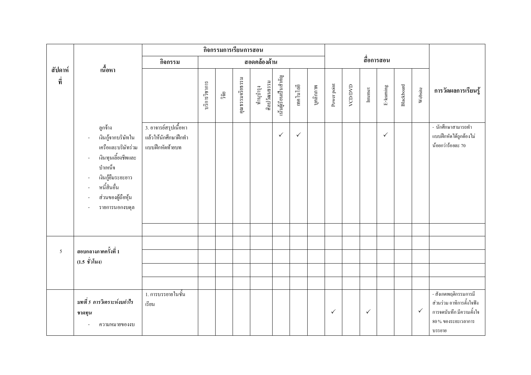|                |                                                                                                                                                                                                                |                                                                  |               | กิจกรรมการเรียนการสอน |                 |                           |                       |              |           |              |         |                         |              |            |              |                                                                                                                  |
|----------------|----------------------------------------------------------------------------------------------------------------------------------------------------------------------------------------------------------------|------------------------------------------------------------------|---------------|-----------------------|-----------------|---------------------------|-----------------------|--------------|-----------|--------------|---------|-------------------------|--------------|------------|--------------|------------------------------------------------------------------------------------------------------------------|
|                |                                                                                                                                                                                                                | กิจกรรม                                                          |               |                       |                 | สอดคล้องด้าน              |                       |              |           |              |         |                         | สื่อการสอน   |            |              |                                                                                                                  |
| สัปดาห์<br>ที่ | เนื้อหา                                                                                                                                                                                                        |                                                                  | บริการวิชาการ | ີ້າຍ                  | คุณธรรมจริยธรรม | ศิลปวัฒนธรรม<br>ทำนุบำรุง | นั้นผู้เรียนเป็นสำคัญ | เทคโนโลยี    | บุคลิกภาพ | Power point  | VCD/DVD | $\label{eq:1}$ Internet | E-leaming    | Blackboard | Website      | การวัดผลการเรียนรู้                                                                                              |
|                | ถูกจ้าง<br>เงินกู้จากบริษัทใน<br>$\overline{\phantom{a}}$<br>เครือและบริษัทร่วม<br>เงินทุนเลี้ยงชีพและ<br>÷,<br>บำเหน็จ<br>เงินกู้ยืมระยะยาว<br>÷,<br>หนี้สินอื่น<br>÷,<br>ส่วนของผู้ถือหุ้น<br>รายการนอกงบคุล | 3. อาจารย์สรุปเนื้อหา<br>แล้วให้นักศึกษาฝึกทำ<br>แบบฝึกหัดท้ายบท |               |                       |                 |                           | $\checkmark$          | $\checkmark$ |           |              |         |                         | $\checkmark$ |            |              | - นักศึกษาสามารถทำ<br>แบบฝึกหัดใด้ถูกต้องไม่<br>น้อยกว่าร้อยละ 70                                                |
|                |                                                                                                                                                                                                                |                                                                  |               |                       |                 |                           |                       |              |           |              |         |                         |              |            |              |                                                                                                                  |
| 5              | สอบกลางภาคครั้งที่ 1                                                                                                                                                                                           |                                                                  |               |                       |                 |                           |                       |              |           |              |         |                         |              |            |              |                                                                                                                  |
|                | $(1.5 \n\stackrel{\leftrightarrow}{\textbf{y}} 1)$ โมง)                                                                                                                                                        |                                                                  |               |                       |                 |                           |                       |              |           |              |         |                         |              |            |              |                                                                                                                  |
|                |                                                                                                                                                                                                                |                                                                  |               |                       |                 |                           |                       |              |           |              |         |                         |              |            |              |                                                                                                                  |
|                |                                                                                                                                                                                                                |                                                                  |               |                       |                 |                           |                       |              |           |              |         |                         |              |            |              |                                                                                                                  |
|                | บทที่ 5 การวิเคราะห์งบกำไร<br>ขาดทุน<br>ความหมายของงบ                                                                                                                                                          | 1. การบรรยายในชั้น<br>เรียน                                      |               |                       |                 |                           |                       |              |           | $\checkmark$ |         | $\checkmark$            |              |            | $\checkmark$ | - สังเกตพฤติกรรมการมี<br>ส่วนร่วม อาทิการตั้งใจฟัง<br>การจดบันทึก มีความตั้งใจ<br>$80%$ ของระยะเวลาการ<br>บรรยาย |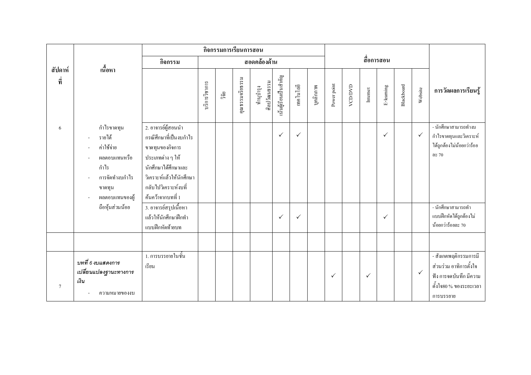|                  |                                                                                                                      |                                                                                                                                                                                     |               | กิจกรรมการเรียนการสอน |                 |                           |                       |              |           |              |         |              |              |            |              |                                                                                                                  |
|------------------|----------------------------------------------------------------------------------------------------------------------|-------------------------------------------------------------------------------------------------------------------------------------------------------------------------------------|---------------|-----------------------|-----------------|---------------------------|-----------------------|--------------|-----------|--------------|---------|--------------|--------------|------------|--------------|------------------------------------------------------------------------------------------------------------------|
|                  |                                                                                                                      | กิจกรรม                                                                                                                                                                             |               |                       |                 | สอดคล้องด้าน              |                       |              |           |              |         |              | สื่อการสอน   |            |              |                                                                                                                  |
| สัปดาห์<br>ที่   | เนื้อหา                                                                                                              |                                                                                                                                                                                     | บริการวิชาการ | วิจัย                 | คุณธรรมจริยธรรม | ศิลปวัฒนธรรม<br>ทำนุบำรุง | นั้นผู้เรียนเป็นสำคัญ | เทคโนโลยี    | บุคลิกภาพ | Power point  | VCD/DVD | Internet     | E-leaming    | Blackboard | Website      | การวัดผลการเรียนรู้                                                                                              |
| 6                | กำไรขาคทุน<br>รายได้<br>÷,<br>ค่าใช้จ่าย<br>ผลตอบแทนหรือ<br>กำไร<br>การจัดทำงบกำไร<br>ขาดทุน<br>ผลตอบแทนของผู้<br>÷, | 2. อาจารย์ผู้สอนนำ<br>กรณีศึกษาที่เป็นงบกำไร<br>ขาดทุนของกิจการ<br>ประเภทต่าง ๆ ให้<br>นักศึกษาได้ศึกษาและ<br>วิเคราะห์แล้วให้นักศึกษา<br>กลับไปวิเคราะห์งบที่<br>ค้นคว้าจากบทที่ 1 |               |                       |                 |                           | $\checkmark$          | $\checkmark$ |           |              |         |              | $\checkmark$ |            | $\checkmark$ | - นักศึกษาสามารถทำงบ<br>กำไรขาดทุนและวิเคราะห์<br>ได้ถูกต้องไม่น้อยกว่าร้อย<br>ดะ 70                             |
|                  | ถือหุ้นส่วนน้อย                                                                                                      | 3. อาจารย์สรุปเนื้อหา<br>แล้วให้นักศึกษาฝึกทำ<br>แบบฝึกหัดท้ายบท                                                                                                                    |               |                       |                 |                           | $\checkmark$          | $\checkmark$ |           |              |         |              | $\checkmark$ |            |              | - นักศึกษาสามารถทำ<br>แบบฝึกหัดได้ถูกต้องไม่<br>น้อยกว่าร้อยละ 70                                                |
|                  |                                                                                                                      |                                                                                                                                                                                     |               |                       |                 |                           |                       |              |           |              |         |              |              |            |              |                                                                                                                  |
| $\boldsymbol{7}$ | บทที่ 6 งบแสดงการ<br>เปลี่ยนแปลงฐานะทางการ<br>เงิน<br>ความหมายของงบ                                                  | 1. การบรรยายในชั้น<br>เรียน                                                                                                                                                         |               |                       |                 |                           |                       |              |           | $\checkmark$ |         | $\checkmark$ |              |            | $\checkmark$ | - สังเกตพฤติกรรมการมี<br>ส่วนร่วม อาทิการตั้งใจ<br>ฟัง การจดบันทึก มีความ<br>คั้งใจ80 % ของระยะเวลา<br>การบรรยาย |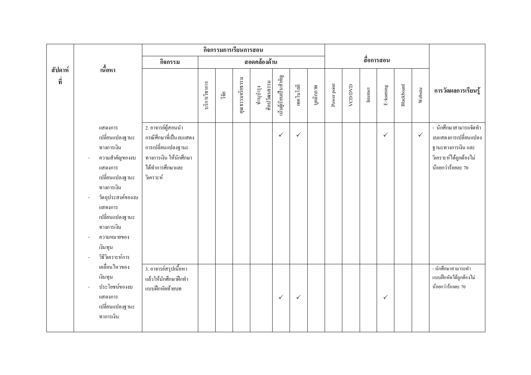|                |                                                                                                                                                                                                                         |                                                                                                                               |               |      | กิจกรรมการเรียนการสอน |                           |                       |              |           |             |         |          |              |            |              |                                                                                                                    |
|----------------|-------------------------------------------------------------------------------------------------------------------------------------------------------------------------------------------------------------------------|-------------------------------------------------------------------------------------------------------------------------------|---------------|------|-----------------------|---------------------------|-----------------------|--------------|-----------|-------------|---------|----------|--------------|------------|--------------|--------------------------------------------------------------------------------------------------------------------|
|                | เนื้อหา                                                                                                                                                                                                                 | กิจกรรม                                                                                                                       |               |      |                       | สอดคล้องด้าน              |                       |              |           |             |         |          | สื่อการสอน   |            |              |                                                                                                                    |
| สัปดาห์<br>ที่ |                                                                                                                                                                                                                         |                                                                                                                               | บริการวิชาการ | ີ້າຍ | คุณธรรมจริยธรรม       | ศิลปวัฒนธรรม<br>ทำนุบำรุง | นั้นผู้เรียนเป็นสำคัญ | เทคโนโลยี    | บุคลิกภาพ | Power point | VCD/DVD | Internet | E-leaming    | Blackboard | Website      | การวัดผลการเรียนรู้                                                                                                |
|                | แสดงการ<br>เปลี่ยนแปลงฐานะ<br>ทางการเงิน<br>ความสำคัญของงบ<br>แสดงการ<br>้ เปลี่ยนแปลงฐานะ<br>ทางการเงิน<br>วัตถุประสงค์ของงบ<br>แสดงการ<br>เปลี่ยนแปลงฐานะ<br>ทางการเงิน<br>ความหมายของ<br>เงินทุน<br>วิธีวิเคราะห์การ | 2. อาจารย์ผู้สอนนำ<br>กรณีศึกษาที่เป็นงบแสดง<br>การเปลี่ยนแปลงฐานะ<br>ทางการเงิน ให้นักศึกษา<br>ได้ทำการศึกษาและ<br>วิเคราะห์ |               |      |                       |                           | $\checkmark$          | $\checkmark$ |           |             |         |          | $\checkmark$ |            | $\checkmark$ | - นักศึกษาสามารถจัดทำ<br>งบแสดงการเปลี่ยนแปลง<br>ฐานะทางการเงิน และ<br>วิเคราะห์ได้ถูกต้องไม่<br>น้อยกว่าร้อยละ 70 |
|                | เคลื่อนใหวของ<br>เงินทุน<br>ประโยชน์ของงบ<br>แสดงการ<br>เปลี่ยนแปลงฐานะ<br>ทาการเงิน                                                                                                                                    | 3. อาจารย์สรุปเนื้อหา<br>แล้วให้นักศึกษาฝึกทำ<br>แบบฝึกหัดท้ายบท                                                              |               |      |                       |                           | $\checkmark$          | $\checkmark$ |           |             |         |          | $\checkmark$ |            |              | - นักศึกษาสามารถทำ<br>แบบฝึกหัดได้ถูกต้องไม่<br>น้อยกว่าร้อยละ 70                                                  |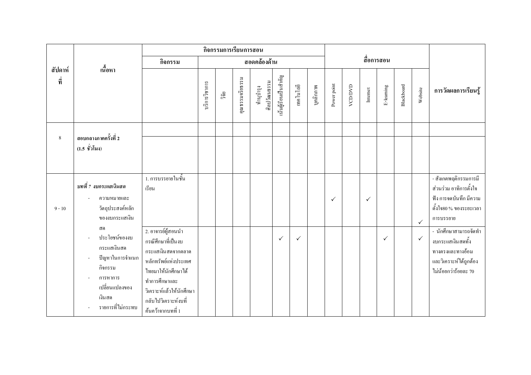|                |                                                                                                                                |                                                                                                                                                                                                          |               |      | กิจกรรมการเรียนการสอน |                           |                       |              |           |             |         |              |              |            |              |                                                                                                                  |
|----------------|--------------------------------------------------------------------------------------------------------------------------------|----------------------------------------------------------------------------------------------------------------------------------------------------------------------------------------------------------|---------------|------|-----------------------|---------------------------|-----------------------|--------------|-----------|-------------|---------|--------------|--------------|------------|--------------|------------------------------------------------------------------------------------------------------------------|
|                | เนื้อหา                                                                                                                        | กิจกรรม                                                                                                                                                                                                  |               |      |                       | สอดคล้องด้าน              |                       |              |           |             |         |              | สื่อการสอน   |            |              |                                                                                                                  |
| สัปดาห์<br>ที่ | สอบกลางภาคครั้งที่ 2<br>$(1.5 \n\stackrel{\scriptscriptstyle\vee}{\scriptscriptstyle\vee} \hat{1})\hat{1}$ มง)                 |                                                                                                                                                                                                          | บริการวิชาการ | ີ້າຍ | กุณธรรมจริยธรรม       | ศิลปวัฒนธรรม<br>ทำนูบำรุง | นั้นผู้เรียนเป็นสำคัญ | เทคโนโลยี    | บุคลิกภาพ | Power point | VCD/DVD | Internet     | E-leaming    | Blackboard | Website      | การวัดผลการเรียนรู้                                                                                              |
| 8              |                                                                                                                                |                                                                                                                                                                                                          |               |      |                       |                           |                       |              |           |             |         |              |              |            |              |                                                                                                                  |
| $9 - 10$       | บทที่ 7 งบกระแสเงินสด<br>ความหมายและ<br>วัตถุประสงค์หลัก<br>ของงบกระแสเงิน                                                     | 1. การบรรยายในชั้น<br>เรียน                                                                                                                                                                              |               |      |                       |                           |                       |              |           | ✓           |         | $\checkmark$ |              |            | $\checkmark$ | - สังเกตพฤติกรรมการมี<br>ส่วนร่วม อาทิการตั้งใจ<br>ฟัง การจดบันทึก มีความ<br>คั้งใจ80 % ของระยะเวลา<br>การบรรยาย |
|                | ิสต<br>ประโยชน์ของงบ<br>กระแสเงินสด<br>ปัญหาในการจำแนก<br>กิจกรรม<br>การหาการ<br>เปลี่ยนแปลงของ<br>เงินสด<br>รายการที่ไม่กระทบ | 2. อาจารย์ผู้สอนนำ<br>กรณีศึกษาที่เป็นงบ<br>กระแสเงินสดจากตลาด<br>หลักทรัพย์แห่งประเทศ<br>ไทยมาให้นักศึกษาได้<br>ทำการศึกษาและ<br>วิเคราะห์แล้วให้นักศึกษา<br>กลับไปวิเคราะห์งบที่<br>้ค้นคว้าจากบทที่ 1 |               |      |                       |                           | $\checkmark$          | $\checkmark$ |           |             |         |              | $\checkmark$ |            | $\checkmark$ | - นักศึกษาสามารถจัดทำ<br>งบกระแสเงินสดทั้ง<br>ทางตรงและทางอ้อม<br>และวิเคราะห์ได้ถูกต้อง<br>ไม่น้อยกว่าร้อยละ 70 |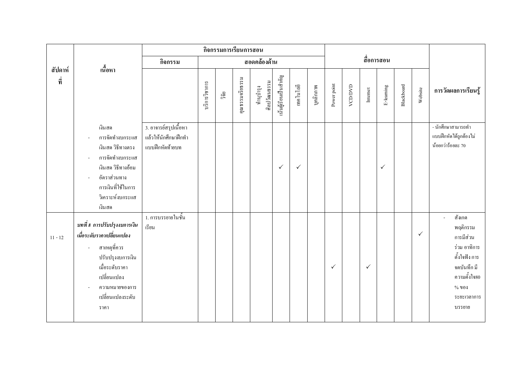|                |                                                                                                                                                                                         | กิจกรรมการเรียนการสอน                                            |               |       |                 |                           |                       |              |           |              |         |                         |              |            |              |                                                                                                                                     |
|----------------|-----------------------------------------------------------------------------------------------------------------------------------------------------------------------------------------|------------------------------------------------------------------|---------------|-------|-----------------|---------------------------|-----------------------|--------------|-----------|--------------|---------|-------------------------|--------------|------------|--------------|-------------------------------------------------------------------------------------------------------------------------------------|
|                |                                                                                                                                                                                         | กิจกรรม                                                          |               |       |                 | สอดคล้องด้าน              |                       |              |           |              |         |                         | สื่อการสอน   |            |              |                                                                                                                                     |
| สัปดาห์<br>ที่ | เนื้อหา                                                                                                                                                                                 |                                                                  | บริการวิชาการ | วิจัย | คุณธรรมจริยธรรม | ศิลปวัฒนธรรม<br>ทำนุบำรุง | นั้นผู้เรียนเป็นสำคัญ | เทคโนโลยี    | บุคลิกภาพ | Power point  | VCD/DVD | $\label{eq:1}$ Internet | E-leaming    | Blackboard | Website      | การวัดผลการเรียนรู้                                                                                                                 |
|                | เงินสด<br>การจัดทำงบกระแส<br>เงินสด วิธีทางตรง<br>การจัดทำงบกระแส<br>$\overline{\phantom{a}}$<br>เงินสด วิธีทางอ้อม<br>อัตราส่วนทาง<br>การเงินที่ใช้ในการ<br>วิเคราะห์งบกระแส<br>เงินสด | 3. อาจารย์สรุปเนื้อหา<br>แล้วให้นักศึกษาฝึกทำ<br>แบบฝึกหัดท้ายบท |               |       |                 |                           | $\checkmark$          | $\checkmark$ |           |              |         |                         | $\checkmark$ |            |              | - นักศึกษาสามารถทำ<br>แบบฝึกหัดใด้ถูกต้องไม่<br>น้อยกว่าร้อยละ 70                                                                   |
| $11 - 12$      | บทที่ 8 การปรับปรุงงบการเงิน<br>เมื่อระดับราคาเปลี่ยนแปลง<br>สาเหตุที่ควร<br>÷,<br>ปรับปรุงงบการเงิน<br>เมื่อระดับราคา<br>เปลี่ยนแปลง<br>ความหมายของการ<br>เปลี่ยนแปลงระดับ<br>ราคา     | 1. การบรรยายในชั้น<br>เรียน                                      |               |       |                 |                           |                       |              |           | $\checkmark$ |         | $\checkmark$            |              |            | $\checkmark$ | สังเกต<br>พฤติกรรม<br>การมีส่วน<br>ร่วม อาทิการ<br>คั้งใจฟัง การ<br>จคบันทึก มี<br>ความตั้งใจ80<br>$%$ 101<br>ระยะเวลาการ<br>บรรยาย |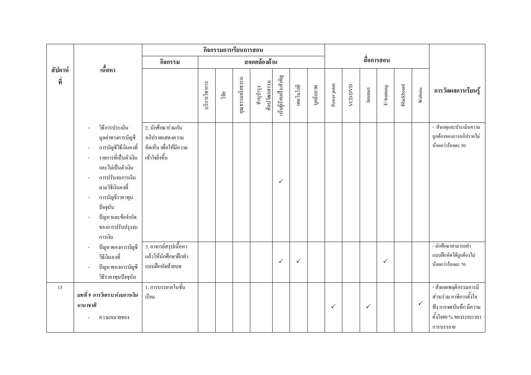|                |                                                                                                                                                                                                                                      |                                                                                   |               | กิจกรรมการเรียนการสอน |                 |                           |                       |              |           |              |         |              |              |            |              |                                                                                                                  |
|----------------|--------------------------------------------------------------------------------------------------------------------------------------------------------------------------------------------------------------------------------------|-----------------------------------------------------------------------------------|---------------|-----------------------|-----------------|---------------------------|-----------------------|--------------|-----------|--------------|---------|--------------|--------------|------------|--------------|------------------------------------------------------------------------------------------------------------------|
|                |                                                                                                                                                                                                                                      | กิจกรรม                                                                           |               |                       |                 | สอดคล้องด้าน              |                       |              |           |              |         |              | สื่อการสอน   |            |              |                                                                                                                  |
| สัปดาห์<br>ที่ | เนื้อหา                                                                                                                                                                                                                              |                                                                                   | บริการวิชาการ | วิจัย                 | คุณธรรมจริยธรรม | ศิลปวัฒนธรรม<br>ทำนุบำรุง | นั้นผู้เรียนเป็นสำคัญ | เทคโนโลยี    | บุคลิกภาพ | Power point  | VCD/DVD | Internet     | E-leaming    | Blackboard | Website      | การวัดผลการเรียนรู้                                                                                              |
|                | วิธีการประเมิน<br>มูลค่าทางการบัญชี<br>การบัญชีวิธีเงินคงที่<br>รายการที่เป็นตัวเงิน<br>และไม่เป็นตัวเงิน<br>การปรับงบการเงิน<br>ิตามวิธีเงินคงที่<br>การบัญชีราคาทุน<br>ปัจจุบัน<br>ปัญหาและข้อจำกัด<br>ของการปรับปรุงงบ<br>การเงิน | 2. นักศึกษาร่วมกัน<br>อภิปรายแสดงความ<br>คิดเห็น เพื่อให้มีความ<br>เข้าใจยิ่งขึ้น |               |                       |                 |                           | $\checkmark$          |              |           |              |         |              |              |            |              | - สังเกตุและประเมินความ<br>ถูกต้องของการอภิปรายไม่<br>น้อยกว่าร้อยละ 50                                          |
|                | ปัญหาของการบัญชี<br>วิธีเงินคงที่<br>ปัญหาของการบัญชี<br>วิธีราคาทุนปัจจุบัน                                                                                                                                                         | 3. อาจารย์สรุปเนื้อหา<br>แล้วให้นักศึกษาฝึกทำ<br>แบบฝึกหัดท้ายบท                  |               |                       |                 |                           | $\checkmark$          | $\checkmark$ |           |              |         |              | $\checkmark$ |            |              | - นักศึกษาสามารถทำ<br>แบบฝึกหัดได้ถูกต้องไม่<br>น้อยกว่าร้อยละ 70                                                |
| 13             | ิบทที่ 9 การวิเคราะห์งบการเงิน<br>นานาชาติ<br>ความหมายของ                                                                                                                                                                            | 1. การบรรยายในชั้น<br>เรียน                                                       |               |                       |                 |                           |                       |              |           | $\checkmark$ |         | $\checkmark$ |              |            | $\checkmark$ | - สังเกตพฤติกรรมการมี<br>ส่วนร่วม อาทิการตั้งใจ<br>ฟัง การจดบันทึก มีความ<br>คั้งใจ80 % ของระยะเวลา<br>การบรรยาย |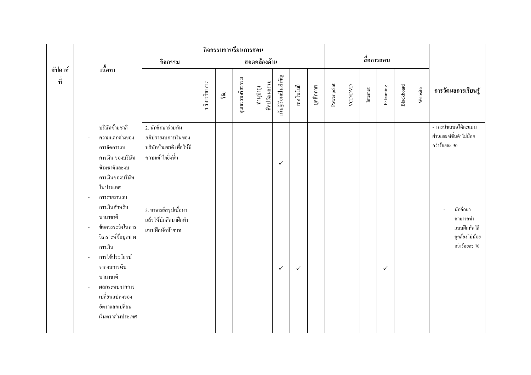|                |                                                                                                                                                                                                                         |                                                                                              |               | กิจกรรมการเรียนการสอน |                 |                           |                       |              |           |             |         |          |              |            |         |                                                                         |
|----------------|-------------------------------------------------------------------------------------------------------------------------------------------------------------------------------------------------------------------------|----------------------------------------------------------------------------------------------|---------------|-----------------------|-----------------|---------------------------|-----------------------|--------------|-----------|-------------|---------|----------|--------------|------------|---------|-------------------------------------------------------------------------|
|                |                                                                                                                                                                                                                         | กิจกรรม                                                                                      |               |                       |                 | สอดคล้องด้าน              |                       |              |           |             |         |          | สื่อการสอน   |            |         |                                                                         |
| สัปดาห์<br>ที่ | เนื้อหา                                                                                                                                                                                                                 |                                                                                              | บริการวิชาการ | ີ້າຍ                  | คุณธรรมจริยธรรม | ศิลปวัฒนธรรม<br>ทำนุบำรุง | นั้นผู้เรียนเป็นสำคัญ | เทคโนโลยี    | บุคลิกภาพ | Power point | VCD/DVD | Internet | E-leaming    | Blackboard | Website | การวัดผลการเรียนรู้                                                     |
|                | บริษัทข้ามชาติ<br>ความแตกต่างของ<br>การจัดการงบ<br>การเงิน ของบริษัท<br>ข้ามชาติและงบ<br>การเงินของบริษัท<br>ในประเทศ<br>การรายงานงบ                                                                                    | 2. นักศึกษาร่วมกัน<br>อภิปรายงบการเงินของ<br>บริษัทข้ามชาติ เพื่อให้มี<br>ความเข้าใจยิ่งขึ้น |               |                       |                 |                           | $\checkmark$          |              |           |             |         |          |              |            |         | - การนำเสนอได้คะแนน<br>ผ่านเกณฑ์ขั้นต่ำไม่น้อย<br>กว่าร้อยละ 50         |
|                | การเงินสำหรับ<br>นานาชาติ<br>ข้อควรระวังในการ<br>$\sim$<br>วิเคราะห์ข้อมูลทาง<br>การเงิน<br>การใช้ประโยชน์<br>ä,<br>จากงบการเงิน<br>นานาชาติ<br>ผลกระทบจากการ<br>เปลี่ยนแปลงของ<br>อัตราแลกเปลี่ยน<br>เงินตราต่างประเทศ | 3. อาจารย์สรุปเนื้อหา<br>แล้วให้นักศึกษาฝึกทำ<br>แบบฝึกหัดท้ายบท                             |               |                       |                 |                           | $\checkmark$          | $\checkmark$ |           |             |         |          | $\checkmark$ |            |         | นักศึกษา<br>สามารถทำ<br>แบบฝึกหัดได้<br>ถูกต้องไม่น้อย<br>กว่าร้อยละ 70 |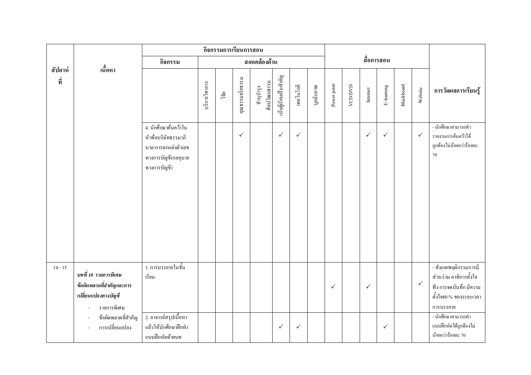|                |                                                                                        | กิจกรรมการเรียนการสอน                                                                                     |               |      |                 |                           |                       |              |           |              |         |              |              |            |              |                                                                                                                  |
|----------------|----------------------------------------------------------------------------------------|-----------------------------------------------------------------------------------------------------------|---------------|------|-----------------|---------------------------|-----------------------|--------------|-----------|--------------|---------|--------------|--------------|------------|--------------|------------------------------------------------------------------------------------------------------------------|
|                |                                                                                        | กิจกรรม                                                                                                   |               |      |                 | สอดคล้องด้าน              |                       |              |           |              |         |              | สื่อการสอน   |            |              |                                                                                                                  |
| สัปดาห์<br>ที่ | เนื้อหา                                                                                |                                                                                                           | บริการวิชาการ | ີ້າຍ | คุณธรรมจริยธรรม | ศิลปวัฒนธรรม<br>ทำนุบำรุง | นั้นผู้เรียนเป็นสำคัญ | เทคโนโลยี    | บุคลิกภาพ | Power point  | VCD/DVD | Internet     | E-leaming    | Blackboard | Website      | การวัดผลการเรียนรู้                                                                                              |
|                |                                                                                        | 4. นักศึกษาค้นคว้าใน<br>หัวข้อบริษัทธรรมาภิ<br>บาล/การตกแต่งตัวเลข<br>ทางการบัญชี(กลอุบาย<br>ทางการบัญชี) |               |      | $\checkmark$    |                           | $\checkmark$          | $\checkmark$ |           |              |         | $\checkmark$ | $\checkmark$ |            | $\checkmark$ | - นักศึกษาสามารถทำ<br>รายงานการค้นคว้าได้<br>ถูกต้องไม่น้อยกว่าร้อยละ<br>$70\,$                                  |
| $14 - 15$      | บทที่ 10 รายการพิเศษ<br>ข้อผิดพลาดที่สำคัญและการ<br>เปลี่ยนแปลงทางบัญชี<br>รายการพิเศษ | 1. การบรรยายในชั้น<br>เรียน                                                                               |               |      |                 |                           |                       |              |           | $\checkmark$ |         | $\checkmark$ |              |            | $\checkmark$ | - สังเกตพฤติกรรมการมี<br>ส่วนร่วม อาทิการตั้งใจ<br>ฟัง การจดบันทึก มีความ<br>ตั้งใจ80 % ของระยะเวลา<br>การบรรยาย |
|                | ข้อผิดพลาดที่สำคัญ<br>การเปลี่ยนแปลง                                                   | 2. อาจารย์สรุปเนื้อหา<br>แล้วให้นักศึกษาฝึกทำ<br>แบบฝึกหัดท้ายบท                                          |               |      |                 |                           | $\checkmark$          | $\checkmark$ |           |              |         |              | $\checkmark$ |            |              | - นักศึกษาสามารถทำ<br>แบบฝึกหัดได้ถูกต้องไม่<br>น้อยกว่าร้อยละ 70                                                |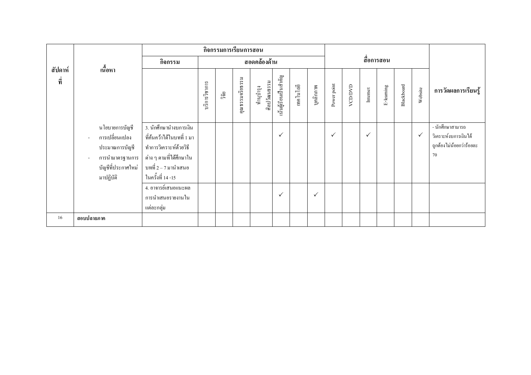|                |                                                                                                                |                                                                                                                                                          |               | กิจกรรมการเรียนการสอน |                     |                           |                       |            |              |              |         |              |           |            |              |                                                                             |
|----------------|----------------------------------------------------------------------------------------------------------------|----------------------------------------------------------------------------------------------------------------------------------------------------------|---------------|-----------------------|---------------------|---------------------------|-----------------------|------------|--------------|--------------|---------|--------------|-----------|------------|--------------|-----------------------------------------------------------------------------|
|                | เนื้อหา                                                                                                        | กิจกรรม                                                                                                                                                  | สอดคล้องด้าน  |                       |                     |                           |                       | สื่อการสอน |              |              |         |              |           |            |              |                                                                             |
| สัปดาห์<br>ที่ |                                                                                                                |                                                                                                                                                          | บริการวิชาการ | ີ້າຢ້                 | ξŽ<br>คุณธรรมจริยธร | ศิลปวัฒนธรรม<br>ทำนุบำรุง | นั้นผู้เรียนเป็นสำคัญ | เทคโนโลยี  | บุคลิกภาพ    | Power point  | VCD/DVD | Internet     | E-leaming | Blackboard | Website      | การวัดผลการเรียนรู้                                                         |
|                | นโยบายการบัญชี<br>การเปลี่ยนแปลง<br>L.<br>ประมาณการบัญชี<br>การนำมาตรฐานการ<br>บัญชีที่ประกาศใหม่<br>มาปฏิบัติ | 3. นักศึกษานำงบการเงิน<br>ที่ค้นคว้าได้ในบทที่ 1 มา<br>ทำการวิเคราะห์ด้วยวิธี<br>้ ต่าง ๆ ตามที่ได้ศึกษาใน<br>ีบทที่ 2 – 7 มานำเสนอ<br>ในครั้งที่ 14 -15 |               |                       |                     |                           | $\checkmark$          |            |              | $\checkmark$ |         | $\checkmark$ |           |            | $\checkmark$ | - นักศึกษาสามารถ<br>วิเคราะห์งบการเงินได้<br>ถูกต้องไม่น้อยกว่าร้อยละ<br>70 |
|                |                                                                                                                | 4. อาจารย์เสนอแนะผล<br>การนำเสนอรายงานใน<br>แต่ละกลุ่ม                                                                                                   |               |                       |                     |                           | $\checkmark$          |            | $\checkmark$ |              |         |              |           |            |              |                                                                             |
| 16             | สอบปลายภาค                                                                                                     |                                                                                                                                                          |               |                       |                     |                           |                       |            |              |              |         |              |           |            |              |                                                                             |